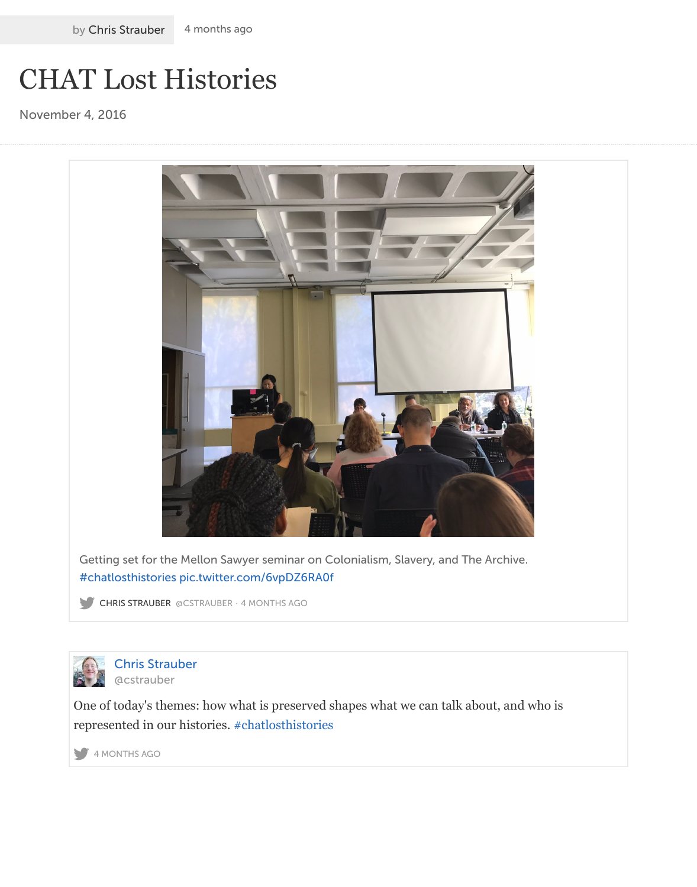

Getting set for the Mellon Sawyer seminar on Colonialism, Slavery, and The Archive. #chatlosthistories pic.twitter.com/6vpDZ6RA0f

CHRIS STRAUBER @CSTRAUBER · 4 MONTHS AGO



Chris Strauber @cstrauber

[One of today's the](https://twitter.com/#!/search?q=%23chatlosthistories)[mes: how what is preserved s](https://t.co/6vpDZ6RA0f)hapes what we can talk about, and who is r[epr](https://twitter.com/)[esented in our histories.](https://twitter.com/cstrauber) [#chatlosthisto](https://twitter.com/cstrauber/status/794608919809245185)ries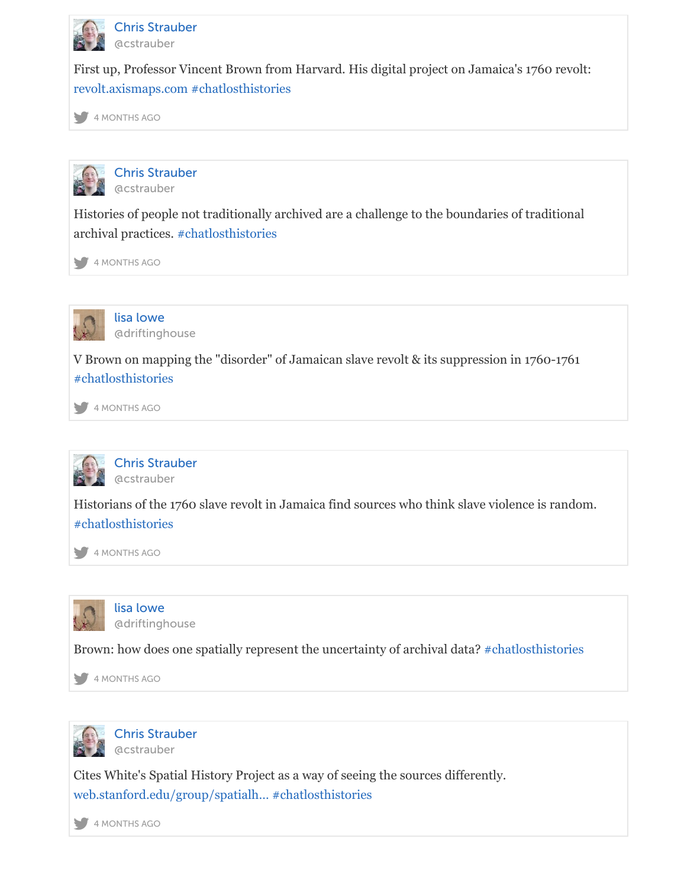



[Histories of people n](https://t.co/gWKyweuMdS)[ot traditionally arc](https://twitter.com/#!/search?q=%23chatlosthistories)hived are a challenge to the boundaries of traditional [arc](https://twitter.com/)[hival practice](https://twitter.com/cstrauber/status/794609510841253888)s. #chatlosthistories

4 MONTHS AGO



[lisa lowe](https://twitter.com/cstrauber) @driftinghouse

V Brown on mapp[ing the "disorder" o](https://twitter.com/#!/search?q=%23chatlosthistories)f Jamaican slave revolt & its suppression in 1760-1761 [#ch](https://twitter.com/)[atlosthistori](https://twitter.com/cstrauber/status/794610646218313730)es

4 MONTHS AGO



[Chris Strauber](https://twitter.com/driftinghouse) @cstrauber

[Historians of the 1](https://twitter.com/#!/search?q=%23chatlosthistories)760 slave revolt in Jamaica find sources who think slave violence is random. [#ch](https://twitter.com/)[atlosthistori](https://twitter.com/driftinghouse/status/794610871905427461)es

4 MONTHS AGO



[lisa lowe](https://twitter.com/cstrauber) @driftinghouse

[Brown: how does o](https://twitter.com/#!/search?q=%23chatlosthistories)ne spatially represent the uncertainty of archival data? #chatlosthistories

[4 MONTHS AGO](https://twitter.com/cstrauber/status/794611125644132352)



[Chris Strauber](https://twitter.com/driftinghouse) [@cstrauber](https://twitter.com/driftinghouse)

Cites White's Spatial History Project as a way of seeing the sources differe[ntly.](https://twitter.com/#!/search?q=%23chatlosthistories)  [we](https://twitter.com/)[b.stanford.ed](https://twitter.com/driftinghouse/status/794611730169085952)u/group/spatialh… #chatlosthistories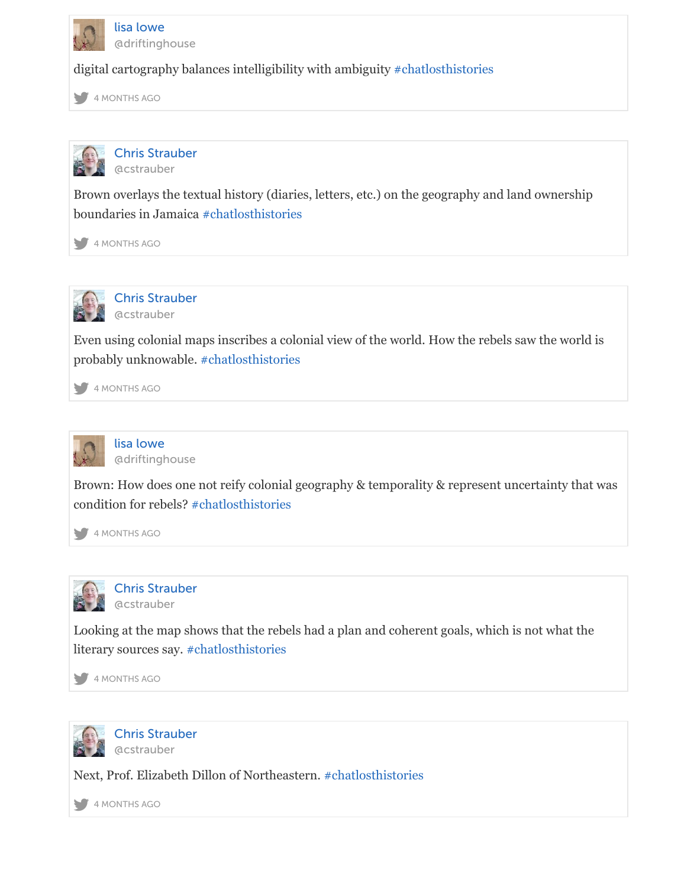

[Chris Strauber](https://twitter.com/driftinghouse) [@cstrauber](https://twitter.com/driftinghouse)

Brown overlays the textual history (diaries, letters, etc.) o[n the geography an](https://twitter.com/#!/search?q=%23chatlosthistories)d land ownership [bou](https://twitter.com/)[ndaries in Ja](https://twitter.com/driftinghouse/status/794611903783993344)maica #chatlosthistories

4 MONTHS AGO



[Chris Strauber](https://twitter.com/cstrauber) @cstrauber

Even using colonial ma[ps inscribes a colo](https://twitter.com/#!/search?q=%23chatlosthistories)nial view of the world. How the rebels saw the world [pro](https://twitter.com/)[bably unkno](https://twitter.com/cstrauber/status/794611983098277888)wable. #chatlosthistories

4 MONTHS AGO



[lisa lowe](https://twitter.com/cstrauber) @driftinghouse

Brown: How does one [not reify colonial g](https://twitter.com/#!/search?q=%23chatlosthistories)eography & temporality & represent uncertainty that [con](https://twitter.com/)[dition for reb](https://twitter.com/cstrauber/status/794612526143172608)els? #chatlosthistories

4 MONTHS AGO



[Chris Strauber](https://twitter.com/driftinghouse) @cstrauber

Looking at the map s[hows that the rebe](https://twitter.com/#!/search?q=%23chatlosthistories)ls had a plan and coherent goals, which is not what the [lite](https://twitter.com/)[rary sources](https://twitter.com/driftinghouse/status/794612831610109952) say. #chatlosthistories

4 MONTHS AGO



[Chris Strauber](https://twitter.com/cstrauber) @cstrauber

Next, Prof. Elizabet[h Dillon of Northea](https://twitter.com/#!/search?q=%23chatlosthistories)stern. #chatlosthistories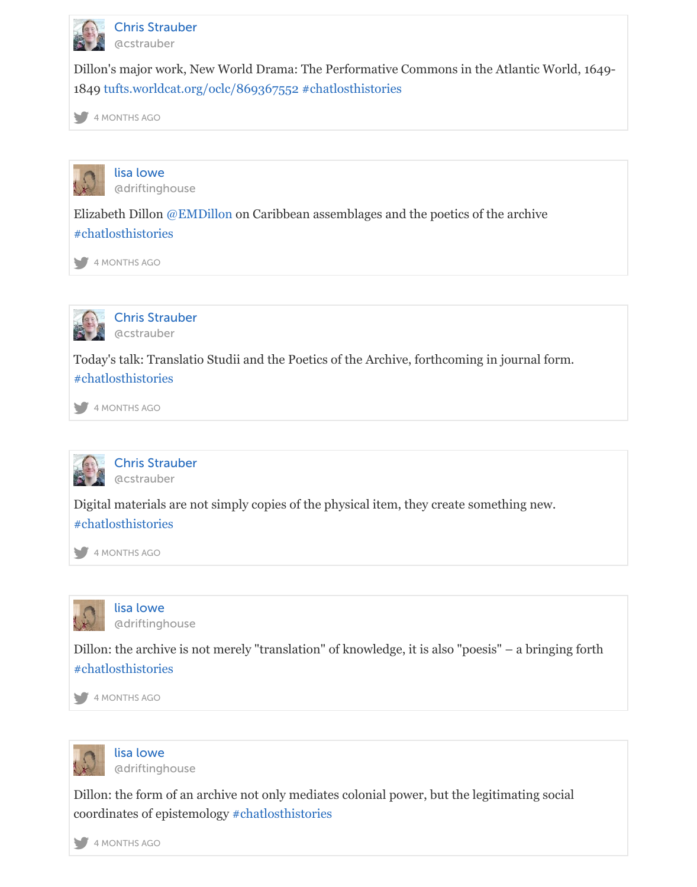



[Elizabeth Dillon @EMDillon on Caribbea](https://t.co/m6OEtWYwX0)[n assemblages and](https://twitter.com/#!/search?q=%23chatlosthistories) the poetics of the archive [#ch](https://twitter.com/)[atlosthistori](https://twitter.com/cstrauber/status/794614256926945281)es

4 MONTHS AGO



[Chris Strauber](https://twitter.com/driftinghouse) @cstraub[er](https://twitter.com/EMDillon)

[Today's talk: Tran](https://twitter.com/#!/search?q=%23chatlosthistories)slatio Studii and the Poetics of the Archive, forthcoming in journal form. [#ch](https://twitter.com/)[atlosthistori](https://twitter.com/driftinghouse/status/794615065450266624)es

4 MONTHS AGO



[Chris Strauber](https://twitter.com/cstrauber) @cstrauber

[Digital materials a](https://twitter.com/#!/search?q=%23chatlosthistories)re not simply copies of the physical item, they create something new. [#ch](https://twitter.com/)[atlosthistori](https://twitter.com/cstrauber/status/794615071154589696)es

4 MONTHS AGO



[lisa lowe](https://twitter.com/cstrauber) @driftinghouse

[Dillon: the archive](https://twitter.com/#!/search?q=%23chatlosthistories) is not merely "translation" of knowledge, it is also "poesis" – a bringing for [#ch](https://twitter.com/)[atlosthistori](https://twitter.com/cstrauber/status/794615324461203456)es

4 MONTHS AGO



[lisa lowe](https://twitter.com/driftinghouse) @driftinghouse

[Dillon: the form of](https://twitter.com/#!/search?q=%23chatlosthistories) an archive not only mediates colonial power, but the legitimating social [coo](https://twitter.com/)[rdinates of e](https://twitter.com/driftinghouse/status/794615358615392256)pistemology #chatlosthistories

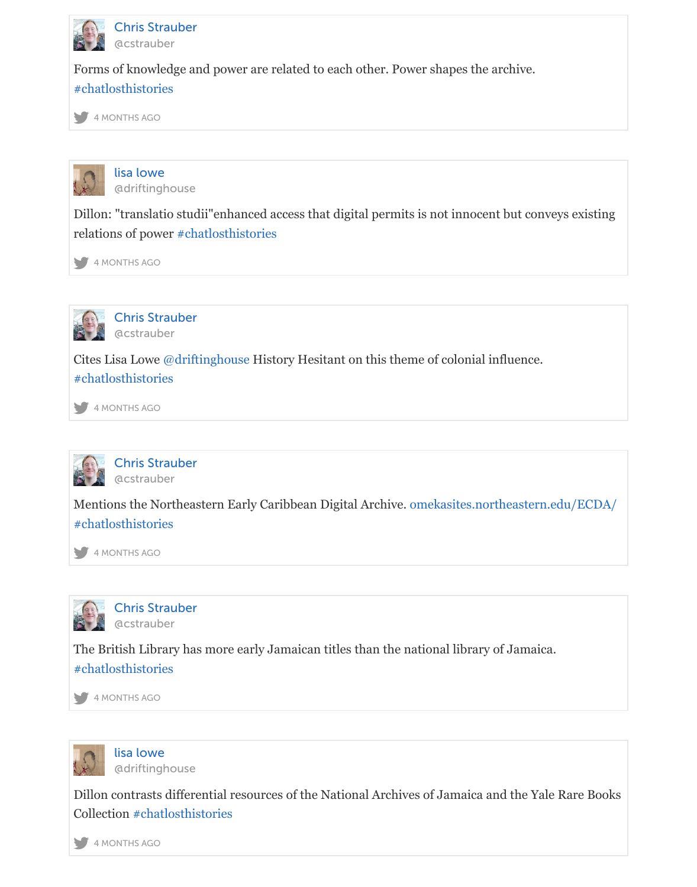



[Dillon: "translatio](https://twitter.com/#!/search?q=%23chatlosthistories) studii"enhanced access that digital permits is not innocent but conveys exis [rel](https://twitter.com/)[ations of pow](https://twitter.com/cstrauber/status/794616068300046336)er #chatlosthistories

4 MONTHS AGO



[Chris Strauber](https://twitter.com/driftinghouse) @cstrauber

Cites Lisa Lowe @[driftinghouse Histo](https://twitter.com/#!/search?q=%23chatlosthistories)ry Hesitant on this theme of colonial influence. [#ch](https://twitter.com/)[atlosthistori](https://twitter.com/driftinghouse/status/794616687110787072)es

4 MONTHS AGO



[Chris Strauber](https://twitter.com/cstrauber) @cstrau[ber](https://twitter.com/driftinghouse)

[Mentions the Nort](https://twitter.com/#!/search?q=%23chatlosthistories)heastern Early Caribbean Digital Archive. omekasites.northeastern.edu/EC [#ch](https://twitter.com/)[atlosthistori](https://twitter.com/cstrauber/status/794616726726070272)es

4 MONTHS AGO



[Chris Strauber](https://twitter.com/cstrauber) [@cstrauber](https://t.co/KX5ZCp0MU8)

[The British Librar](https://twitter.com/#!/search?q=%23chatlosthistories)y has more early Jamaican titles than the national library of Jamaica. [#ch](https://twitter.com/)[atlosthistori](https://twitter.com/cstrauber/status/794617114443255810)es

4 MONTHS AGO



[lisa lowe](https://twitter.com/cstrauber) @driftinghouse

[Dillon contrasts di](https://twitter.com/#!/search?q=%23chatlosthistories)fferential resources of the National Archives of Jamaica and the Yale Rare B [Col](https://twitter.com/)[lection #chat](https://twitter.com/cstrauber/status/794617554711015424)losthistories

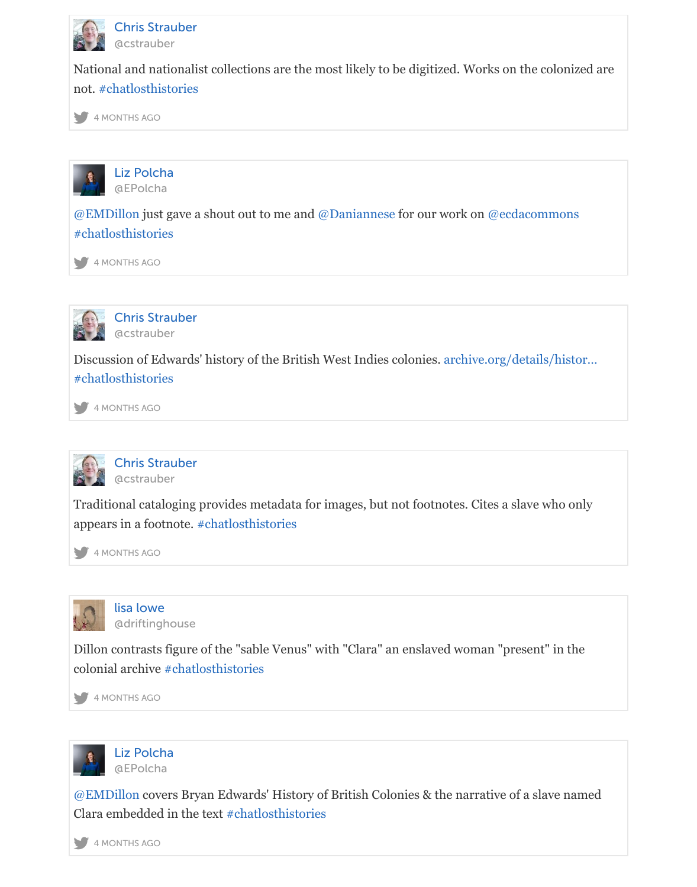



@E[MDillon just gave a](https://twitter.com/#!/search?q=%23chatlosthistories) shout out to me and @Daniannese for our work on @ecdacommons [#ch](https://twitter.com/)[atlosthistori](https://twitter.com/cstrauber/status/794617759397277696)es

4 MONTHS AGO



[Chris Strau](https://twitter.com/EPolcha)ber [@cst](https://twitter.com/EMDillon)rauber

[Discussion of Edw](https://twitter.com/#!/search?q=%23chatlosthistories)ards' history of the British West Indies colonies. archive.org/details/histor… [#ch](https://twitter.com/)[atlosthistori](https://twitter.com/EPolcha/status/794617845346865152)es

4 MONTHS AGO



[Chris Strauber](https://twitter.com/cstrauber) [@cstrauber](https://t.co/MtAMmsBWQp)

[Traditional catalog](https://twitter.com/#!/search?q=%23chatlosthistories)ing provides metadata for images, but not footnotes. Cites a slave who only [app](https://twitter.com/)[ears in a foo](https://twitter.com/cstrauber/status/794618363335081985)tnote. #chatlosthistories

4 MONTHS AGO



[lisa lowe](https://twitter.com/cstrauber) @driftinghouse

Dillon contrasts figur[e of the "sable Venu](https://twitter.com/#!/search?q=%23chatlosthistories)s" with "Clara" an enslaved woman "present" in the [col](https://twitter.com/)[onial archive](https://twitter.com/cstrauber/status/794618912499466240) #chatlosthistories

4 MONTHS AGO



@EMDillon cov[ers Bryan Edwards](https://twitter.com/#!/search?q=%23chatlosthistories)' History of British Colonies & the narrative of a slave name [Cla](https://twitter.com/)[ra embedded](https://twitter.com/driftinghouse/status/794619064303886340) in the text #chatlosthistories

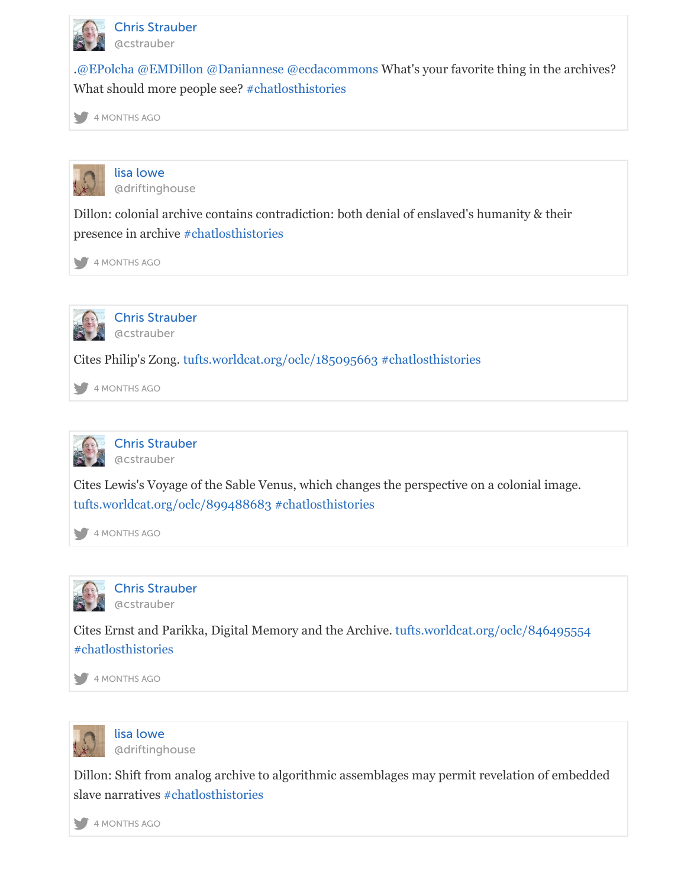



Dillon: colonial archive contai[ns contradiction: bo](https://twitter.com/#!/search?q=%23chatlosthistories)th denial of enslaved's humanity & their [pre](https://twitter.com/)[sence in arch](https://twitter.com/cstrauber/status/794619324573110273)ive #chatlosthistories

4 MONTHS AGO



[Chris Strauber](https://twitter.com/driftinghouse) @cstrauber

Cites Philip's Zong. [tufts.worldcat.org/](https://twitter.com/#!/search?q=%23chatlosthistories)oclc/185095663 #chatlosthistories

[4 MONTHS AGO](https://twitter.com/driftinghouse/status/794619419964178432)



[Chris Strauber](https://twitter.com/cstrauber) [@cstrauber](https://twitter.com/cstrauber)

[Cites Lewis's Voyage of the Sable Venus, which changes](https://t.co/fkLe3czRne) [the perspective on](https://twitter.com/#!/search?q=%23chatlosthistories) a colonial image. [tuf](https://twitter.com/)t[s.worldcat.o](https://twitter.com/cstrauber/status/794619733152845824)rg/oclc/899488683 #chatlosthistories

4 MONTHS AGO



[Chris Strauber](https://twitter.com/cstrauber) @cstrauber

[Cites Ernst and Parikka, Digital Me](https://t.co/M3bFnXlWI3)[mory and the Archi](https://twitter.com/#!/search?q=%23chatlosthistories)ve. tufts.worldcat.org/oclc/846495554 [#ch](https://twitter.com/)[atlosthistori](https://twitter.com/cstrauber/status/794620009192497153)es

4 MONTHS AGO



[lisa lowe](https://twitter.com/cstrauber) [@driftinghouse](https://t.co/PR4MdXq7vX)

[Dillon: Shift from](https://twitter.com/#!/search?q=%23chatlosthistories) analog archive to algorithmic assemblages may permit revelation of embedded [sla](https://twitter.com/)[ve narratives](https://twitter.com/cstrauber/status/794620346326466560) #chatlosthistories

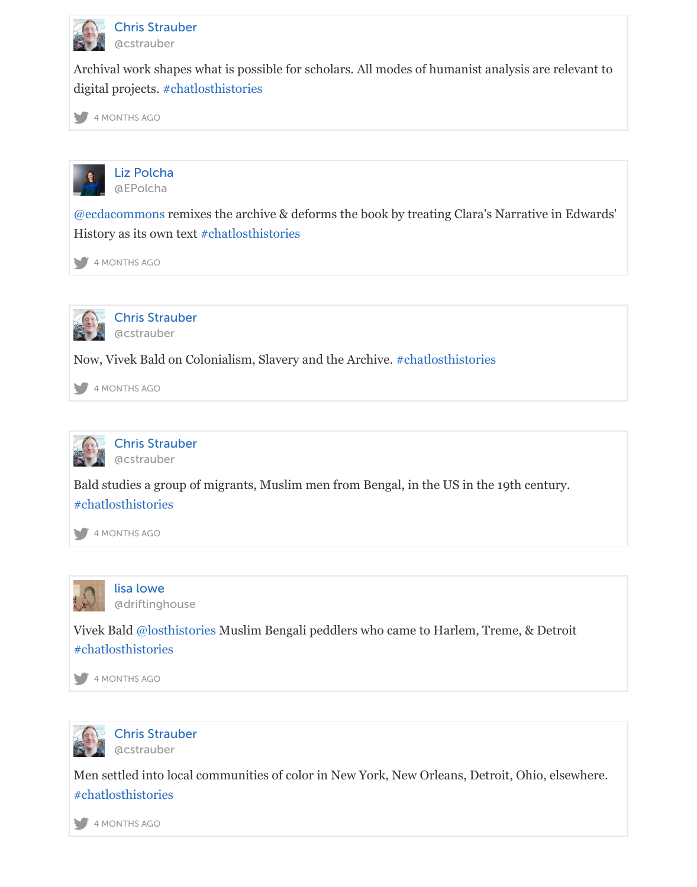



@ecdacommon[s remixes the archi](https://twitter.com/#!/search?q=%23chatlosthistories)ve & deforms the book by treating Clara's Narrative in Edwa [His](https://twitter.com/)[tory as its ow](https://twitter.com/cstrauber/status/794620968039751685)n text #chatlosthistories

4 MONTHS AGO



[Chris Strau](https://twitter.com/EPolcha)ber [@cstraube](https://twitter.com/ecdacommons)r

Now, Vivek Bald on C[olonialism, Slavery](https://twitter.com/#!/search?q=%23chatlosthistories) and the Archive. #chatlosthistories

[4 MONTHS AGO](https://twitter.com/EPolcha/status/794621042983628801)



[Chris Strauber](https://twitter.com/cstrauber) [@cstrauber](https://twitter.com/cstrauber)

Bald studies a group of migrants, Muslim men from Beng[al, in the US in the](https://twitter.com/#!/search?q=%23chatlosthistories) 19th century. [#ch](https://twitter.com/)[atlosthistori](https://twitter.com/cstrauber/status/794621352401661953)es

4 MONTHS AGO



[lisa lowe](https://twitter.com/cstrauber) @driftinghouse

[Vivek Bald @losth](https://twitter.com/#!/search?q=%23chatlosthistories)istories Muslim Bengali peddlers who came to Harlem, Treme, & Detroit [#ch](https://twitter.com/)[atlosthistori](https://twitter.com/cstrauber/status/794621634883846144)es

4 MONTHS AGO



[Chris Strauber](https://twitter.com/driftinghouse) @cs[trauber](https://twitter.com/losthistories)

[Men settled into lo](https://twitter.com/#!/search?q=%23chatlosthistories)cal communities of color in New York, New Orleans, Detroit, Ohio, elsewhe [#ch](https://twitter.com/)[atlosthistori](https://twitter.com/driftinghouse/status/794621805000609792)es

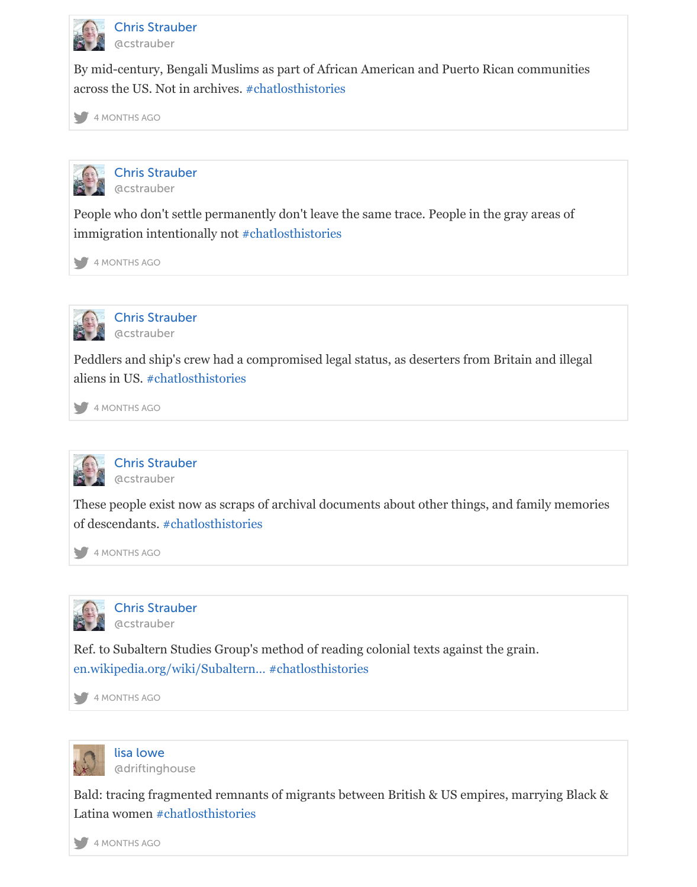



People who don't settle perma[nently don't leave t](https://twitter.com/#!/search?q=%23chatlosthistories)he same trace. People in the gray areas of [im](https://twitter.com/)[migration int](https://twitter.com/cstrauber/status/794622416362344453)entionally not #chatlosthistories

4 MONTHS AGO



[Chris Strauber](https://twitter.com/cstrauber) @cstrauber

Peddlers and ship's crew had [a compromised leg](https://twitter.com/#!/search?q=%23chatlosthistories)al status, as deserters from Britain and illegal [alie](https://twitter.com/)[ns in US. #ch](https://twitter.com/cstrauber/status/794622755304046593)atlosthistories

4 MONTHS AGO



[Chris Strauber](https://twitter.com/cstrauber) @cstrauber

These peopl[e exist now as scrap](https://twitter.com/#!/search?q=%23chatlosthistories)s of archival documents about other things, and family memor [of d](https://twitter.com/)[escendants.](https://twitter.com/cstrauber/status/794623119285690369) #chatlosthistories

4 MONTHS AGO



[Chris Strauber](https://twitter.com/cstrauber) @cstrauber

Ref. to Subalter[n Studies Group's m](https://twitter.com/#!/search?q=%23chatlosthistories)ethod of reading colonial texts against the grain. [en.](https://twitter.com/)[wikipedia.org](https://twitter.com/cstrauber/status/794623328564772864)/wiki/Subaltern… #chatlosthistories

4 MONTHS AGO



[lisa lowe](https://twitter.com/cstrauber) @driftinghouse

[Bald: tracing fragmented remnants](https://t.co/c4L2yChPKk) [of migrants betwe](https://twitter.com/#!/search?q=%23chatlosthistories)en British & US empires, marrying Black [Lat](https://twitter.com/)[ina women #](https://twitter.com/cstrauber/status/794623633914286080)chatlosthistories

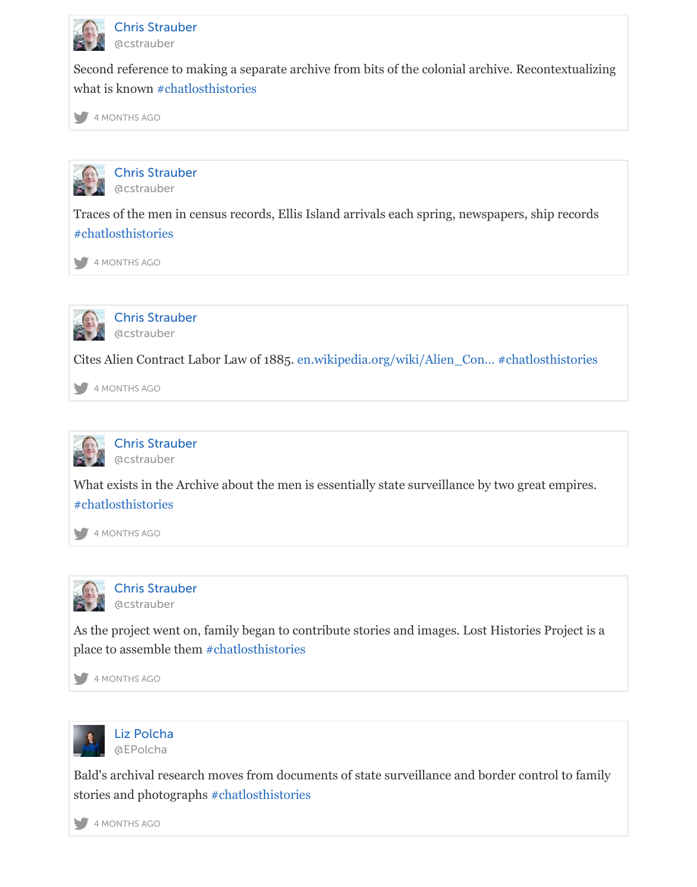



Traces of the [men in census recor](https://twitter.com/#!/search?q=%23chatlosthistories)ds, Ellis Island arrivals each spring, newspapers, ship records [#ch](https://twitter.com/)[atlosthistori](https://twitter.com/cstrauber/status/794624136177913856)es

4 MONTHS AGO



[Chris Strauber](https://twitter.com/cstrauber) @cstrauber

[Cites Alien Contra](https://twitter.com/#!/search?q=%23chatlosthistories)ct Labor Law of 1885. en.wikipedia.org/wiki/Alien\_Con… #chatlosthistories

[4 MONTHS AGO](https://twitter.com/cstrauber/status/794624631965622273)



[Chris Strauber](https://twitter.com/cstrauber) [@cstrauber](https://twitter.com/cstrauber)

[What exists in the Archive about the men is essentially state surveillance by](https://t.co/iyaxnV3ZCa) [two great empires.](https://twitter.com/#!/search?q=%23chatlosthistories) [#ch](https://twitter.com/)[atlosthistori](https://twitter.com/cstrauber/status/794625024103747584)es

4 MONTHS AGO



[Chris Strauber](https://twitter.com/cstrauber) @cstrauber

[As the project wen](https://twitter.com/#!/search?q=%23chatlosthistories)t on, family began to contribute stories and images. Lost Histories Project is [pla](https://twitter.com/)[ce to assemb](https://twitter.com/cstrauber/status/794625540279988225)le them #chatlosthistories

4 MONTHS AGO



[Liz Polcha](https://twitter.com/cstrauber) @EPolcha

Bald's archival research [moves from docum](https://twitter.com/#!/search?q=%23chatlosthistories)ents of state surveillance and border control to family [sto](https://twitter.com/)[ries and phot](https://twitter.com/cstrauber/status/794626040391933952)ographs #chatlosthistories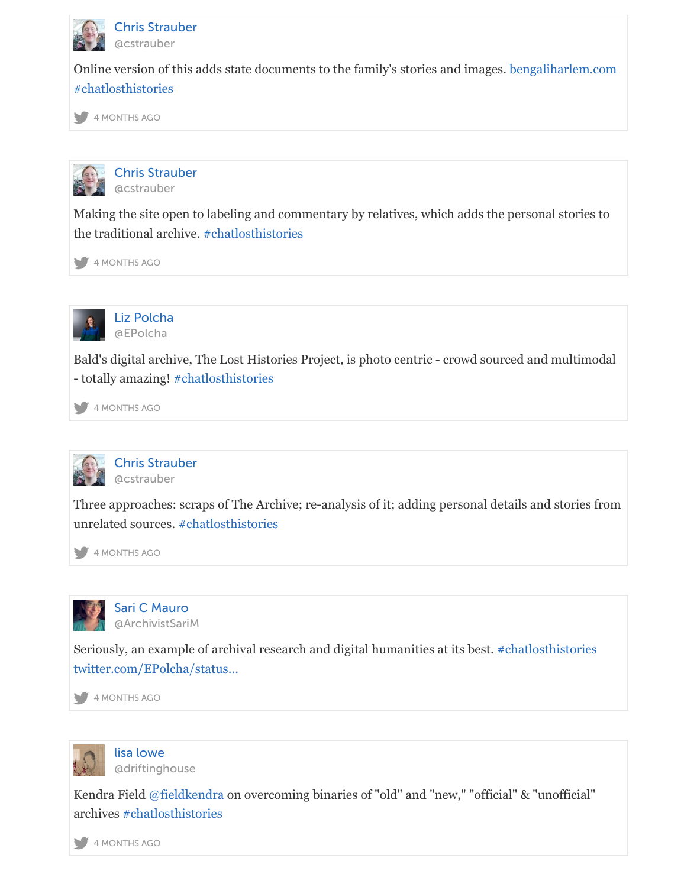



[Making the site op](https://twitter.com/#!/search?q=%23chatlosthistories)en to labeling and commentary by relatives, which adds the personal stories [the](https://twitter.com/) [traditional a](https://twitter.com/cstrauber/status/794626603938672640)rchive. #chatlosthistories

4 MONTHS AGO



[Liz Polcha](https://twitter.com/cstrauber) @EPolcha

Bald's digital archive, T[he Lost Histories P](https://twitter.com/#!/search?q=%23chatlosthistories)roject, is photo centric - crowd sourced and multim [- to](https://twitter.com/)[tally amazing](https://twitter.com/cstrauber/status/794626919190896640)! #chatlosthistories

4 MONTHS AGO



[Chris Strau](https://twitter.com/EPolcha)ber @cstrauber

Three approaches[: scraps of The Arc](https://twitter.com/#!/search?q=%23chatlosthistories)hive; re-analysis of it; adding personal details and stories [unr](https://twitter.com/)[elated source](https://twitter.com/EPolcha/status/794627066989842432)s. #chatlosthistories

4 MONTHS AGO



[Sari C Mauro](https://twitter.com/cstrauber) @ArchivistSariM

Seriously, an exam[ple of archival rese](https://twitter.com/#!/search?q=%23chatlosthistories)arch and digital humanities at its best. #chatlosthistorie [twi](https://twitter.com/)[tter.com/EPo](https://twitter.com/cstrauber/status/794627142617337857)lcha/status…

4 MONTHS AGO



[lisa lowe](https://twitter.com/ArchivistSariM) @driftinghouse

[Kendra Field @fieldkendra on](https://t.co/L3EQu8D05F) overcoming binaries of "old" and "new," "official" & "unofficial" [arc](https://twitter.com/)[hives #chatlo](https://twitter.com/ArchivistSariM/status/794631280260423681)sthistories

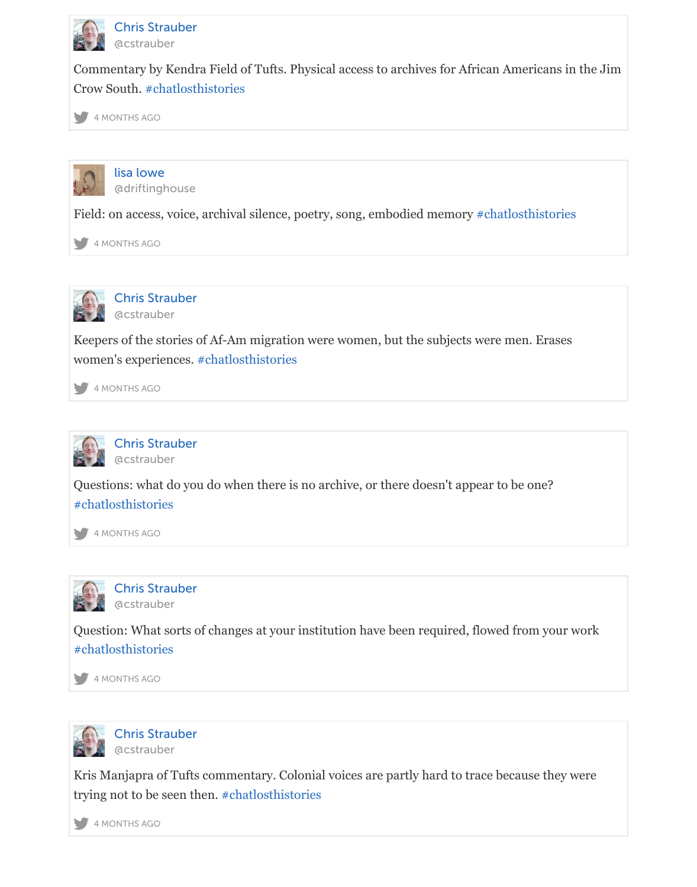



Field: on acc[ess, voice, archival](https://twitter.com/#!/search?q=%23chatlosthistories) silence, poetry, song, embodied memory #chatlosthistories

[4 MONTHS AGO](https://twitter.com/cstrauber/status/794631976837902336)



[Chris Strauber](https://twitter.com/driftinghouse) [@cstrauber](https://twitter.com/driftinghouse)

Keepers of the stories of Af-Am migration were women, but the subjects [were men. Erases](https://twitter.com/#!/search?q=%23chatlosthistories) [wo](https://twitter.com/)[men's experie](https://twitter.com/driftinghouse/status/794632141401452545)nces. #chatlosthistories

4 MONTHS AGO



[Chris Strauber](https://twitter.com/cstrauber) @cstrauber

Questions: what do yo[u do when there is](https://twitter.com/#!/search?q=%23chatlosthistories) no archive, or there doesn't appear to be one? [#ch](https://twitter.com/)[atlosthistori](https://twitter.com/cstrauber/status/794632441717813252)es

4 MONTHS AGO



[Chris Strauber](https://twitter.com/cstrauber) @cstrauber

[Question: What so](https://twitter.com/#!/search?q=%23chatlosthistories)rts of changes at your institution have been required, flowed from your work [#ch](https://twitter.com/)[atlosthistori](https://twitter.com/cstrauber/status/794633044925747200)es

4 MONTHS AGO



[Chris Strauber](https://twitter.com/cstrauber) @cstrauber

[Kris Manjapra of T](https://twitter.com/#!/search?q=%23chatlosthistories)ufts commentary. Colonial voices are partly hard to trace because they were [try](https://twitter.com/)i[ng not to be](https://twitter.com/cstrauber/status/794633225025048576) seen then. #chatlosthistories

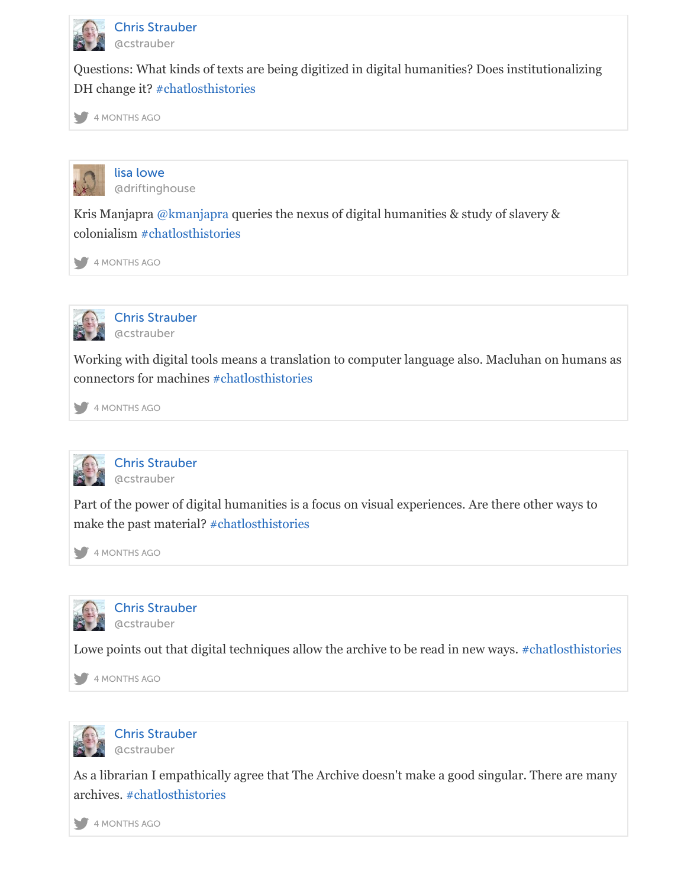



Kris Manjapra [@kmanjapra quer](https://twitter.com/#!/search?q=%23chatlosthistories)ies the nexus of digital humanities & study of slavery & [col](https://twitter.com/)[onialism #ch](https://twitter.com/cstrauber/status/794634046466887680)atlosthistories

4 MONTHS AGO



[Chris Strauber](https://twitter.com/driftinghouse) @cstra[uber](https://twitter.com/kmanjapra)

Working wi[th digital tools mea](https://twitter.com/#!/search?q=%23chatlosthistories)ns a translation to computer language also. Macluhan on huma [con](https://twitter.com/)[nectors for m](https://twitter.com/driftinghouse/status/794634058282188800)achines #chatlosthistories

4 MONTHS AGO



[Chris Strauber](https://twitter.com/cstrauber) @cstrauber

Part of the power of digit[al humanities is a f](https://twitter.com/#!/search?q=%23chatlosthistories)ocus on visual experiences. Are there other ways to [ma](https://twitter.com/)[ke the past m](https://twitter.com/cstrauber/status/794634670596128769)aterial? #chatlosthistories

4 MONTHS AGO



[Chris Strauber](https://twitter.com/cstrauber) @cstrauber

Lowe points out that dig[ital techniques allo](https://twitter.com/#!/search?q=%23chatlosthistories)w the archive to be read in new ways. #chatlosthist

[4 MONTHS AGO](https://twitter.com/cstrauber/status/794634963408789504)



[Chris Strauber](https://twitter.com/cstrauber) [@cstrauber](https://twitter.com/cstrauber)

As a librarian I empathically agree that The Archive doesn't make a good singular. There are n [arc](https://twitter.com/)[hives. #chatl](https://twitter.com/cstrauber/status/794635540935168000)osthistories

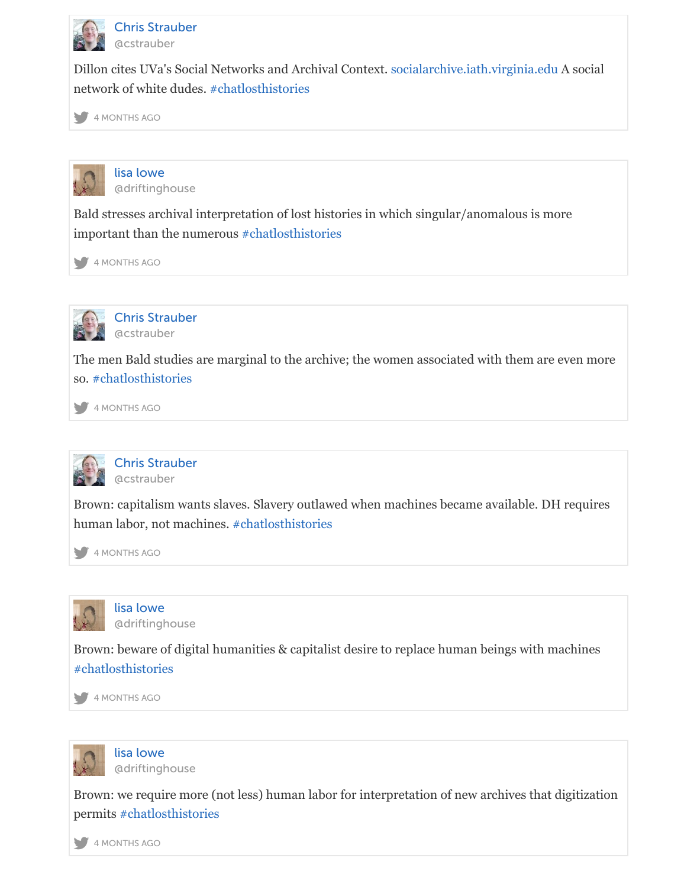



Bald stresses archival in[terpretation of lost](https://twitter.com/#!/search?q=%23chatlosthistories) histories in which singular/anomalous is more [im](https://twitter.com/)[portant than](https://twitter.com/cstrauber/status/794637100373209088) the numerous #chatlosthistories

4 MONTHS AGO



[Chris Strauber](https://twitter.com/driftinghouse) @cstrauber

The men Bald studies are mar[ginal to the archive](https://twitter.com/#!/search?q=%23chatlosthistories); the women associated with them are even n [so.](https://twitter.com/) [#chatlosthist](https://twitter.com/driftinghouse/status/794638053067419648)ories

4 MONTHS AGO



[Chris Strauber](https://twitter.com/cstrauber) @cstrauber

Br[own: capitalism wa](https://twitter.com/#!/search?q=%23chatlosthistories)nts slaves. Slavery outlawed when machines became available. DH requi [hu](https://twitter.com/)[man labor, no](https://twitter.com/cstrauber/status/794638838190706688)t machines. #chatlosthistories

4 MONTHS AGO



[lisa lowe](https://twitter.com/cstrauber) @driftinghouse

Brown: beware of digital hu[manities & capitalis](https://twitter.com/#!/search?q=%23chatlosthistories)t desire to replace human beings with machine [#ch](https://twitter.com/)[atlosthistori](https://twitter.com/cstrauber/status/794639341490470913)es

4 MONTHS AGO



[lisa lowe](https://twitter.com/driftinghouse) @driftinghouse

[Brown: we require](https://twitter.com/#!/search?q=%23chatlosthistories) more (not less) human labor for interpretation of new archives that digitization. [per](https://twitter.com/)[mits #chatlo](https://twitter.com/driftinghouse/status/794639637952266244)sthistories